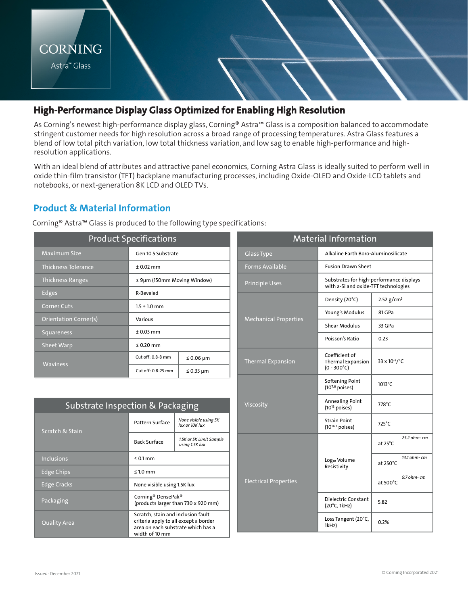

## **High-Performance Display Glass Optimized for Enabling High Resolution**

As Corning's newest high-performance display glass, Corning® Astra™ Glass is a composition balanced to accommodate stringent customer needs for high resolution across a broad range of processing temperatures. Astra Glass features a blend of low total pitch variation, low total thickness variation, and low sag to enable high-performance and highresolution applications.

With an ideal blend of attributes and attractive panel economics, Corning Astra Glass is ideally suited to perform well in oxide thin-film transistor (TFT) backplane manufacturing processes, including Oxide-OLED and Oxide-LCD tablets and notebooks, or next-generation 8K LCD and OLED TVs.

## **Product & Material Information**

Corning® Astra™ Glass is produced to the following type specifications:

|                            | <b>Product Specifications</b>                                               |  | <b>Material Information</b> |                              |                                                  |  |
|----------------------------|-----------------------------------------------------------------------------|--|-----------------------------|------------------------------|--------------------------------------------------|--|
| Maximum Size               | Gen 10.5 Substrate                                                          |  |                             | <b>Glass Type</b>            | Alkaline Earth Boro-Alı                          |  |
| <b>Thickness Tolerance</b> | $± 0.02$ mm                                                                 |  |                             | <b>Forms Available</b>       | <b>Fusion Drawn Sheet</b>                        |  |
| <b>Thickness Ranges</b>    | $\leq$ 9µm (150mm Moving Window)                                            |  |                             | <b>Principle Uses</b>        | Substrates for high-pe<br>with a-Si and oxide-TF |  |
| Edges                      | R-Beveled                                                                   |  |                             |                              | Density (20°C)                                   |  |
| <b>Corner Cuts</b>         | $1.5 \pm 1.0$ mm                                                            |  |                             |                              |                                                  |  |
| Orientation Corner(s)      | Various                                                                     |  |                             | <b>Mechanical Properties</b> | Young's Modulus                                  |  |
| <b>Squareness</b>          | $± 0.03$ mm                                                                 |  |                             |                              | Shear Modulus                                    |  |
|                            |                                                                             |  |                             |                              | Poisson's Ratio                                  |  |
| <b>Sheet Warp</b>          | $\leq 0.20$ mm                                                              |  |                             |                              |                                                  |  |
| <b>Waviness</b>            | Cut off: 0.8-8 mm<br>$\leq 0.06$ µm<br>Cut off: 0.8-25 mm<br>$\leq$ 0.33 µm |  |                             | <b>Thermal Expansion</b>     | Coefficient of<br><b>Thermal Expansion</b>       |  |
|                            |                                                                             |  |                             |                              | $(0 - 300^{\circ}C)$                             |  |

| Substrate Inspection & Packaging |                                                                                                                                     |                                           |  |  |  |  |
|----------------------------------|-------------------------------------------------------------------------------------------------------------------------------------|-------------------------------------------|--|--|--|--|
| Scratch & Stain                  | Pattern Surface                                                                                                                     | None visible using 5K<br>lux or 10K lux   |  |  |  |  |
|                                  | <b>Back Surface</b>                                                                                                                 | 1.5K or 5K Limit Sample<br>using 1.5K lux |  |  |  |  |
| <b>Inclusions</b>                | $\leq 0.1$ mm                                                                                                                       |                                           |  |  |  |  |
| <b>Edge Chips</b>                | $\leq 1.0$ mm                                                                                                                       |                                           |  |  |  |  |
| <b>Edge Cracks</b>               | None visible using 1.5K lux                                                                                                         |                                           |  |  |  |  |
| Packaging                        | Corning <sup>®</sup> DensePak <sup>®</sup><br>(products larger than 730 x 920 mm)                                                   |                                           |  |  |  |  |
| <b>Quality Area</b>              | Scratch, stain and inclusion fault<br>criteria apply to all except a border<br>area on each substrate which has a<br>width of 10 mm |                                           |  |  |  |  |

| <b>Material Information</b>  |                                                                                  |                                   |  |  |  |
|------------------------------|----------------------------------------------------------------------------------|-----------------------------------|--|--|--|
| <b>Glass Type</b>            | Alkaline Earth Boro-Aluminosilicate                                              |                                   |  |  |  |
| <b>Forms Available</b>       | <b>Fusion Drawn Sheet</b>                                                        |                                   |  |  |  |
| <b>Principle Uses</b>        | Substrates for high-performance displays<br>with a-Si and oxide-TFT technologies |                                   |  |  |  |
|                              | Density (20°C)                                                                   | 2.52 $g/cm^3$                     |  |  |  |
|                              | Young's Modulus                                                                  | 81 GPa                            |  |  |  |
| <b>Mechanical Properties</b> | <b>Shear Modulus</b>                                                             | 33 GPa                            |  |  |  |
|                              | Poisson's Ratio                                                                  | 0.23                              |  |  |  |
| <b>Thermal Expansion</b>     | Coefficient of<br><b>Thermal Expansion</b><br>$(0 - 300^{\circ}C)$               | 33 x 10-7/°C                      |  |  |  |
|                              | <b>Softening Point</b><br>$(10^{7.6}$ poises)                                    | 1013°C                            |  |  |  |
| Viscosity                    | <b>Annealing Point</b><br>$(10^{13}$ poises)                                     | 778°C                             |  |  |  |
|                              | <b>Strain Point</b><br>$(10^{14.7} \text{ poises})$                              | 725°C                             |  |  |  |
|                              |                                                                                  | 25.2 ohm- cm<br>at 25°C           |  |  |  |
|                              | Log <sub>10</sub> Volume<br>Resistivity                                          | 14.1 ohm- cm<br>at 250°C          |  |  |  |
| <b>Electrical Properties</b> |                                                                                  | 9.7 ohm- cm<br>at $500^{\circ}$ C |  |  |  |
|                              | Dielectric Constant<br>(20°C, 1kHz)                                              | 5.82                              |  |  |  |
|                              | Loss Tangent (20°C,<br>1kHz)                                                     | 0.2%                              |  |  |  |